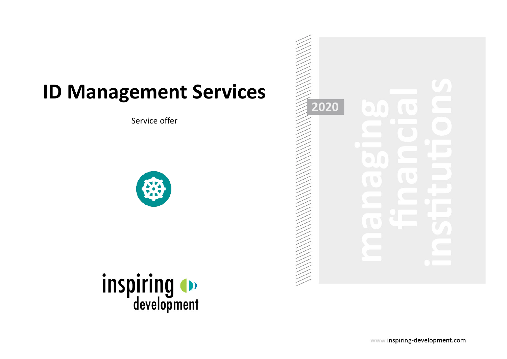## **ID Management Services**

Service offer





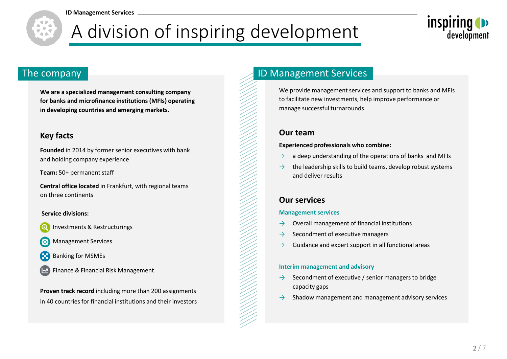

# A division of inspiring development



**We are a specialized management consulting company for banks and microfinance institutions (MFIs) operating in developing countries and emerging markets.** 

#### **Key facts**

**Founded** in 2014 by former senior executives with bank and holding company experience

**Team:** 50+ permanent staff

**Central office located** in Frankfurt, with regional teams on three continents

#### **Service divisions:**

Investments & Restructurings

- Management Services
- Banking for MSMEs
- Finance & Financial Risk Management

**Proven track record** including more than 200 assignments in 40 countries for financial institutions and their investors

### The company **ID Management Services**

We provide management services and support to banks and MFIs to facilitate new investments, help improve performance or manage successful turnarounds.

#### **Our team**

#### **Experienced professionals who combine:**

- $\rightarrow$  a deep understanding of the operations of banks and MFIs
- the leadership skills to build teams, develop robust systems and deliver results

#### **Our services**

#### **Management services**

- $\rightarrow$  Overall management of financial institutions
- $\rightarrow$  Secondment of executive managers
- $\rightarrow$  Guidance and expert support in all functional areas

#### **Interim management and advisory**

- Secondment of executive / senior managers to bridge capacity gaps
- Shadow management and management advisory services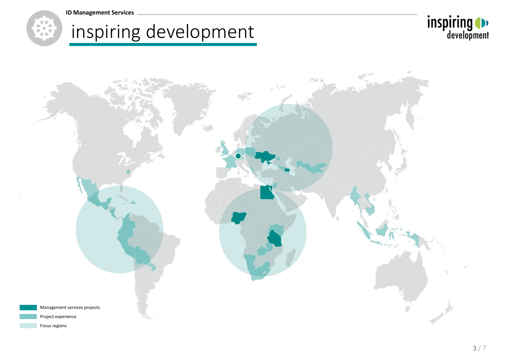







Focus regions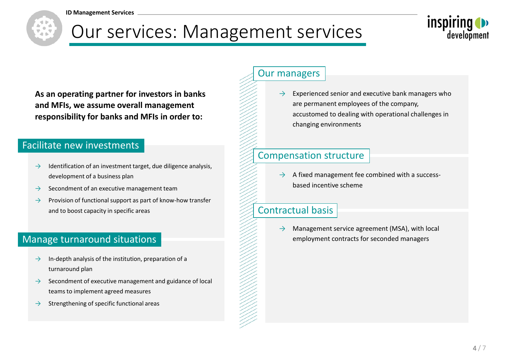

## Our services: Management services



**As an operating partner for investors in banks and MFIs, we assume overall management responsibility for banks and MFIs in order to:**

#### Facilitate new investments

- $\rightarrow$  Identification of an investment target, due diligence analysis, development of a business plan
- $\rightarrow$  Secondment of an executive management team
- $\rightarrow$  Provision of functional support as part of know-how transfer and to boost capacity in specific areas

#### Manage turnaround situations

- $\rightarrow$  In-depth analysis of the institution, preparation of a turnaround plan
- $\rightarrow$  Secondment of executive management and guidance of local teams to implement agreed measures
- $\rightarrow$  Strengthening of specific functional areas

#### Our managers

 $\rightarrow$  Experienced senior and executive bank managers who are permanent employees of the company, accustomed to dealing with operational challenges in changing environments

### Compensation structure

 $\rightarrow$  A fixed management fee combined with a successbased incentive scheme

### Contractual basis

 $\rightarrow$  Management service agreement (MSA), with local employment contracts for seconded managers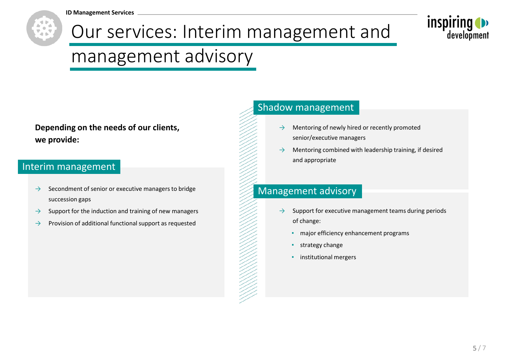**ID Management Services**





## management advisory

**Depending on the needs of our clients, we provide:**

### Interim management

- $\rightarrow$  Secondment of senior or executive managers to bridge succession gaps
- $\rightarrow$  Support for the induction and training of new managers
- $\rightarrow$  Provision of additional functional support as requested

#### Shadow management

- $\rightarrow$  Mentoring of newly hired or recently promoted senior/executive managers
- $\rightarrow$  Mentoring combined with leadership training, if desired and appropriate

### Management advisory

- $\rightarrow$  Support for executive management teams during periods of change:
	- **·** major efficiency enhancement programs
	- **•** strategy change
	- **·** institutional mergers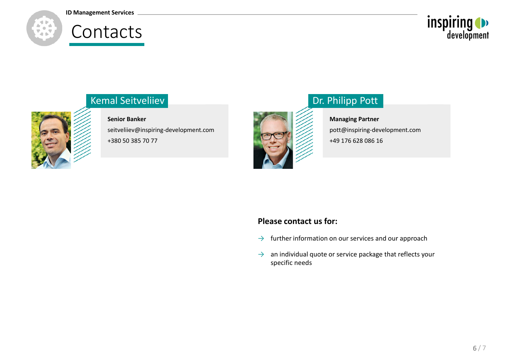#### **ID Management Services**

## Contacts





### Kemal Seitveliiev

**Senior Banker** seitveliiev@inspiring-development.com +380 50 385 70 77



## Dr. Philipp Pott

**Managing Partner** pott@inspiring-development.com +49 176 628 086 16

#### **Please contact us for:**

- $\rightarrow$  further information on our services and our approach
- $\rightarrow$  an individual quote or service package that reflects your specific needs